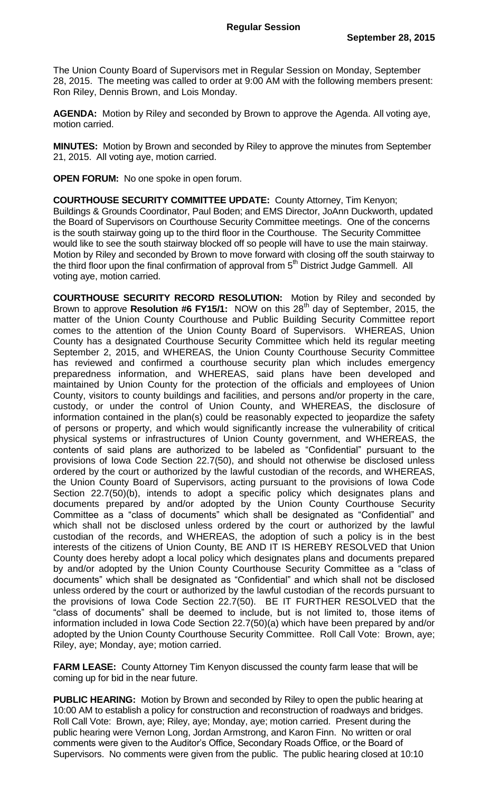The Union County Board of Supervisors met in Regular Session on Monday, September 28, 2015. The meeting was called to order at 9:00 AM with the following members present: Ron Riley, Dennis Brown, and Lois Monday.

**AGENDA:** Motion by Riley and seconded by Brown to approve the Agenda. All voting aye, motion carried.

**MINUTES:** Motion by Brown and seconded by Riley to approve the minutes from September 21, 2015. All voting aye, motion carried.

**OPEN FORUM:** No one spoke in open forum.

**COURTHOUSE SECURITY COMMITTEE UPDATE:** County Attorney, Tim Kenyon; Buildings & Grounds Coordinator, Paul Boden; and EMS Director, JoAnn Duckworth, updated the Board of Supervisors on Courthouse Security Committee meetings. One of the concerns is the south stairway going up to the third floor in the Courthouse. The Security Committee would like to see the south stairway blocked off so people will have to use the main stairway. Motion by Riley and seconded by Brown to move forward with closing off the south stairway to the third floor upon the final confirmation of approval from 5<sup>th</sup> District Judge Gammell. All voting aye, motion carried.

**COURTHOUSE SECURITY RECORD RESOLUTION:** Motion by Riley and seconded by Brown to approve **Resolution #6 FY15/1:** NOW on this 28th day of September, 2015, the matter of the Union County Courthouse and Public Building Security Committee report comes to the attention of the Union County Board of Supervisors. WHEREAS, Union County has a designated Courthouse Security Committee which held its regular meeting September 2, 2015, and WHEREAS, the Union County Courthouse Security Committee has reviewed and confirmed a courthouse security plan which includes emergency preparedness information, and WHEREAS, said plans have been developed and maintained by Union County for the protection of the officials and employees of Union County, visitors to county buildings and facilities, and persons and/or property in the care, custody, or under the control of Union County, and WHEREAS, the disclosure of information contained in the plan(s) could be reasonably expected to jeopardize the safety of persons or property, and which would significantly increase the vulnerability of critical physical systems or infrastructures of Union County government, and WHEREAS, the contents of said plans are authorized to be labeled as "Confidential" pursuant to the provisions of Iowa Code Section 22.7(50), and should not otherwise be disclosed unless ordered by the court or authorized by the lawful custodian of the records, and WHEREAS, the Union County Board of Supervisors, acting pursuant to the provisions of Iowa Code Section 22.7(50)(b), intends to adopt a specific policy which designates plans and documents prepared by and/or adopted by the Union County Courthouse Security Committee as a "class of documents" which shall be designated as "Confidential" and which shall not be disclosed unless ordered by the court or authorized by the lawful custodian of the records, and WHEREAS, the adoption of such a policy is in the best interests of the citizens of Union County, BE AND IT IS HEREBY RESOLVED that Union County does hereby adopt a local policy which designates plans and documents prepared by and/or adopted by the Union County Courthouse Security Committee as a "class of documents" which shall be designated as "Confidential" and which shall not be disclosed unless ordered by the court or authorized by the lawful custodian of the records pursuant to the provisions of Iowa Code Section 22.7(50). BE IT FURTHER RESOLVED that the "class of documents" shall be deemed to include, but is not limited to, those items of information included in Iowa Code Section 22.7(50)(a) which have been prepared by and/or adopted by the Union County Courthouse Security Committee. Roll Call Vote: Brown, aye; Riley, aye; Monday, aye; motion carried.

**FARM LEASE:** County Attorney Tim Kenyon discussed the county farm lease that will be coming up for bid in the near future.

**PUBLIC HEARING:** Motion by Brown and seconded by Riley to open the public hearing at 10:00 AM to establish a policy for construction and reconstruction of roadways and bridges. Roll Call Vote: Brown, aye; Riley, aye; Monday, aye; motion carried. Present during the public hearing were Vernon Long, Jordan Armstrong, and Karon Finn. No written or oral comments were given to the Auditor's Office, Secondary Roads Office, or the Board of Supervisors. No comments were given from the public. The public hearing closed at 10:10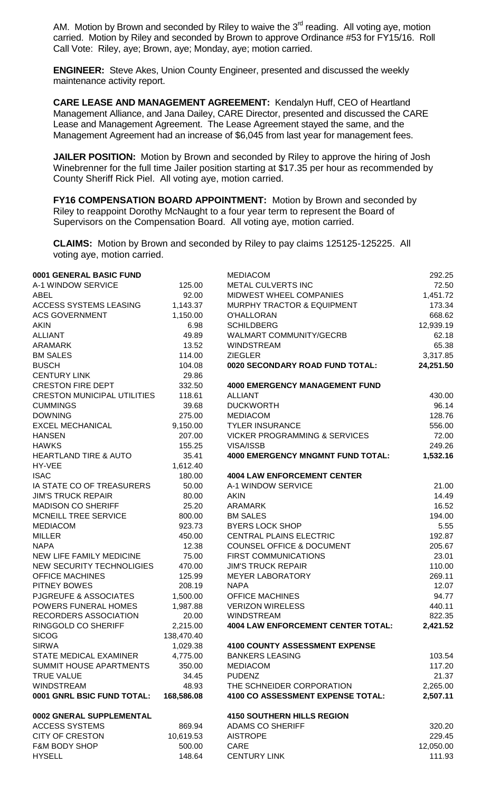AM. Motion by Brown and seconded by Riley to waive the  $3<sup>rd</sup>$  reading. All voting aye, motion carried. Motion by Riley and seconded by Brown to approve Ordinance #53 for FY15/16. Roll Call Vote: Riley, aye; Brown, aye; Monday, aye; motion carried.

**ENGINEER:** Steve Akes, Union County Engineer, presented and discussed the weekly maintenance activity report.

**CARE LEASE AND MANAGEMENT AGREEMENT:** Kendalyn Huff, CEO of Heartland Management Alliance, and Jana Dailey, CARE Director, presented and discussed the CARE Lease and Management Agreement. The Lease Agreement stayed the same, and the Management Agreement had an increase of \$6,045 from last year for management fees.

**JAILER POSITION:** Motion by Brown and seconded by Riley to approve the hiring of Josh Winebrenner for the full time Jailer position starting at \$17.35 per hour as recommended by County Sheriff Rick Piel. All voting aye, motion carried.

**FY16 COMPENSATION BOARD APPOINTMENT:** Motion by Brown and seconded by Riley to reappoint Dorothy McNaught to a four year term to represent the Board of Supervisors on the Compensation Board. All voting aye, motion carried.

**CLAIMS:** Motion by Brown and seconded by Riley to pay claims 125125-125225. All voting aye, motion carried.

| 0001 GENERAL BASIC FUND            |            | <b>MEDIACOM</b>                           | 292.25    |
|------------------------------------|------------|-------------------------------------------|-----------|
| A-1 WINDOW SERVICE                 | 125.00     | METAL CULVERTS INC                        | 72.50     |
| ABEL                               | 92.00      | MIDWEST WHEEL COMPANIES                   | 1,451.72  |
| ACCESS SYSTEMS LEASING             | 1,143.37   | MURPHY TRACTOR & EQUIPMENT                | 173.34    |
| <b>ACS GOVERNMENT</b>              | 1,150.00   | <b>O'HALLORAN</b>                         | 668.62    |
| <b>AKIN</b>                        | 6.98       | <b>SCHILDBERG</b>                         | 12,939.19 |
| <b>ALLIANT</b>                     | 49.89      | <b>WALMART COMMUNITY/GECRB</b>            | 62.18     |
| <b>ARAMARK</b>                     | 13.52      | <b>WINDSTREAM</b>                         | 65.38     |
| <b>BM SALES</b>                    | 114.00     | <b>ZIEGLER</b>                            | 3,317.85  |
| <b>BUSCH</b>                       | 104.08     | 0020 SECONDARY ROAD FUND TOTAL:           | 24,251.50 |
| <b>CENTURY LINK</b>                | 29.86      |                                           |           |
| <b>CRESTON FIRE DEPT</b>           | 332.50     | <b>4000 EMERGENCY MANAGEMENT FUND</b>     |           |
| <b>CRESTON MUNICIPAL UTILITIES</b> | 118.61     | <b>ALLIANT</b>                            | 430.00    |
| <b>CUMMINGS</b>                    | 39.68      | <b>DUCKWORTH</b>                          | 96.14     |
| <b>DOWNING</b>                     | 275.00     | <b>MEDIACOM</b>                           | 128.76    |
| <b>EXCEL MECHANICAL</b>            | 9,150.00   | <b>TYLER INSURANCE</b>                    | 556.00    |
| <b>HANSEN</b>                      | 207.00     | <b>VICKER PROGRAMMING &amp; SERVICES</b>  | 72.00     |
| <b>HAWKS</b>                       | 155.25     | VISA/ISSB                                 | 249.26    |
| <b>HEARTLAND TIRE &amp; AUTO</b>   | 35.41      | <b>4000 EMERGENCY MNGMNT FUND TOTAL:</b>  | 1,532.16  |
| HY-VEE                             | 1,612.40   |                                           |           |
| <b>ISAC</b>                        | 180.00     | <b>4004 LAW ENFORCEMENT CENTER</b>        |           |
| IA STATE CO OF TREASURERS          | 50.00      | A-1 WINDOW SERVICE                        | 21.00     |
| <b>JIM'S TRUCK REPAIR</b>          | 80.00      | <b>AKIN</b>                               | 14.49     |
| <b>MADISON CO SHERIFF</b>          | 25.20      | <b>ARAMARK</b>                            | 16.52     |
| MCNEILL TREE SERVICE               | 800.00     | <b>BM SALES</b>                           | 194.00    |
| <b>MEDIACOM</b>                    | 923.73     | <b>BYERS LOCK SHOP</b>                    | 5.55      |
| <b>MILLER</b>                      | 450.00     | CENTRAL PLAINS ELECTRIC                   | 192.87    |
| <b>NAPA</b>                        | 12.38      | <b>COUNSEL OFFICE &amp; DOCUMENT</b>      | 205.67    |
| NEW LIFE FAMILY MEDICINE           | 75.00      | <b>FIRST COMMUNICATIONS</b>               | 23.01     |
| NEW SECURITY TECHNOLIGIES          | 470.00     | <b>JIM'S TRUCK REPAIR</b>                 | 110.00    |
| <b>OFFICE MACHINES</b>             | 125.99     | <b>MEYER LABORATORY</b>                   | 269.11    |
| PITNEY BOWES                       | 208.19     | <b>NAPA</b>                               | 12.07     |
| <b>PJGREUFE &amp; ASSOCIATES</b>   | 1,500.00   | <b>OFFICE MACHINES</b>                    | 94.77     |
| POWERS FUNERAL HOMES               | 1,987.88   | <b>VERIZON WIRELESS</b>                   | 440.11    |
| RECORDERS ASSOCIATION              | 20.00      | <b>WINDSTREAM</b>                         | 822.35    |
| RINGGOLD CO SHERIFF                | 2,215.00   | <b>4004 LAW ENFORCEMENT CENTER TOTAL:</b> | 2,421.52  |
| <b>SICOG</b>                       | 138,470.40 |                                           |           |
| <b>SIRWA</b>                       | 1,029.38   | <b>4100 COUNTY ASSESSMENT EXPENSE</b>     |           |
| <b>STATE MEDICAL EXAMINER</b>      | 4,775.00   | <b>BANKERS LEASING</b>                    | 103.54    |
| SUMMIT HOUSE APARTMENTS            | 350.00     | <b>MEDIACOM</b>                           | 117.20    |
| <b>TRUE VALUE</b>                  | 34.45      | <b>PUDENZ</b>                             | 21.37     |
| <b>WINDSTREAM</b>                  | 48.93      | THE SCHNEIDER CORPORATION                 | 2,265.00  |
| 0001 GNRL BSIC FUND TOTAL:         | 168,586.08 | 4100 CO ASSESSMENT EXPENSE TOTAL:         | 2,507.11  |
| 0002 GNERAL SUPPLEMENTAL           |            | <b>4150 SOUTHERN HILLS REGION</b>         |           |
| <b>ACCESS SYSTEMS</b>              | 869.94     | <b>ADAMS CO SHERIFF</b>                   | 320.20    |
| <b>CITY OF CRESTON</b>             | 10,619.53  | <b>AISTROPE</b>                           | 229.45    |
| <b>F&amp;M BODY SHOP</b>           | 500.00     | CARE                                      | 12,050.00 |
| <b>HYSELL</b>                      | 148.64     | <b>CENTURY LINK</b>                       | 111.93    |
|                                    |            |                                           |           |